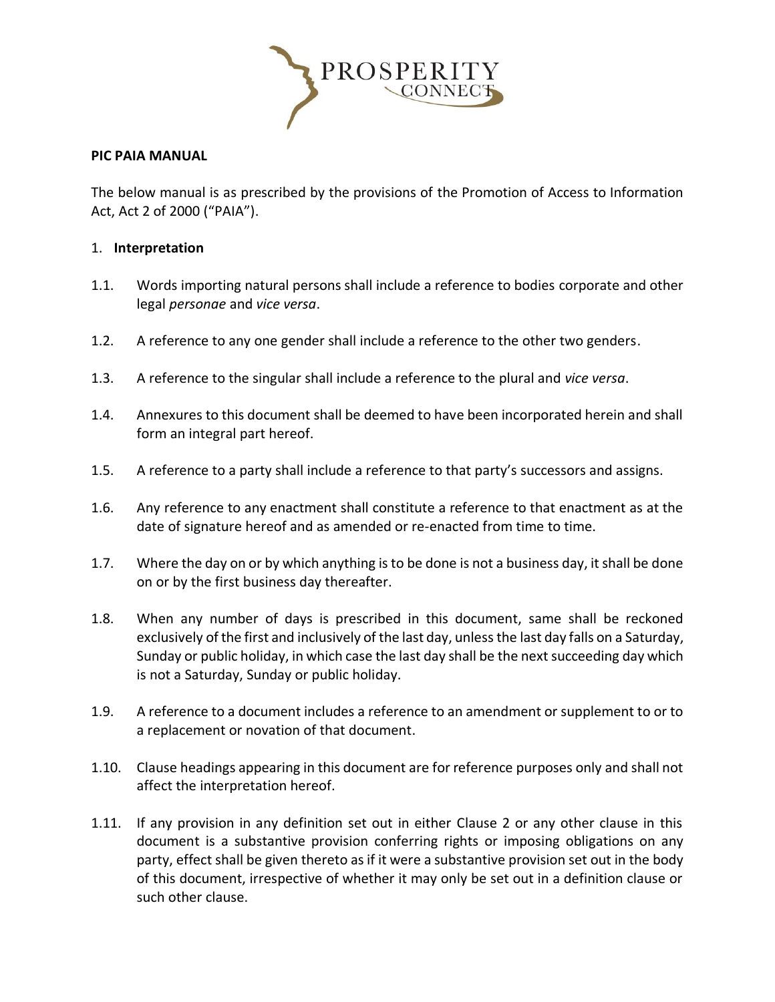

### **PIC PAIA MANUAL**

The below manual is as prescribed by the provisions of the Promotion of Access to Information Act, Act 2 of 2000 ("PAIA").

#### 1. **Interpretation**

- 1.1. Words importing natural persons shall include a reference to bodies corporate and other legal *personae* and *vice versa*.
- 1.2. A reference to any one gender shall include a reference to the other two genders.
- 1.3. A reference to the singular shall include a reference to the plural and *vice versa*.
- 1.4. Annexures to this document shall be deemed to have been incorporated herein and shall form an integral part hereof.
- 1.5. A reference to a party shall include a reference to that party's successors and assigns.
- 1.6. Any reference to any enactment shall constitute a reference to that enactment as at the date of signature hereof and as amended or re-enacted from time to time.
- 1.7. Where the day on or by which anything is to be done is not a business day, it shall be done on or by the first business day thereafter.
- 1.8. When any number of days is prescribed in this document, same shall be reckoned exclusively of the first and inclusively of the last day, unless the last day falls on a Saturday, Sunday or public holiday, in which case the last day shall be the next succeeding day which is not a Saturday, Sunday or public holiday.
- 1.9. A reference to a document includes a reference to an amendment or supplement to or to a replacement or novation of that document.
- 1.10. Clause headings appearing in this document are for reference purposes only and shall not affect the interpretation hereof.
- 1.11. If any provision in any definition set out in either Clause 2 or any other clause in this document is a substantive provision conferring rights or imposing obligations on any party, effect shall be given thereto as if it were a substantive provision set out in the body of this document, irrespective of whether it may only be set out in a definition clause or such other clause.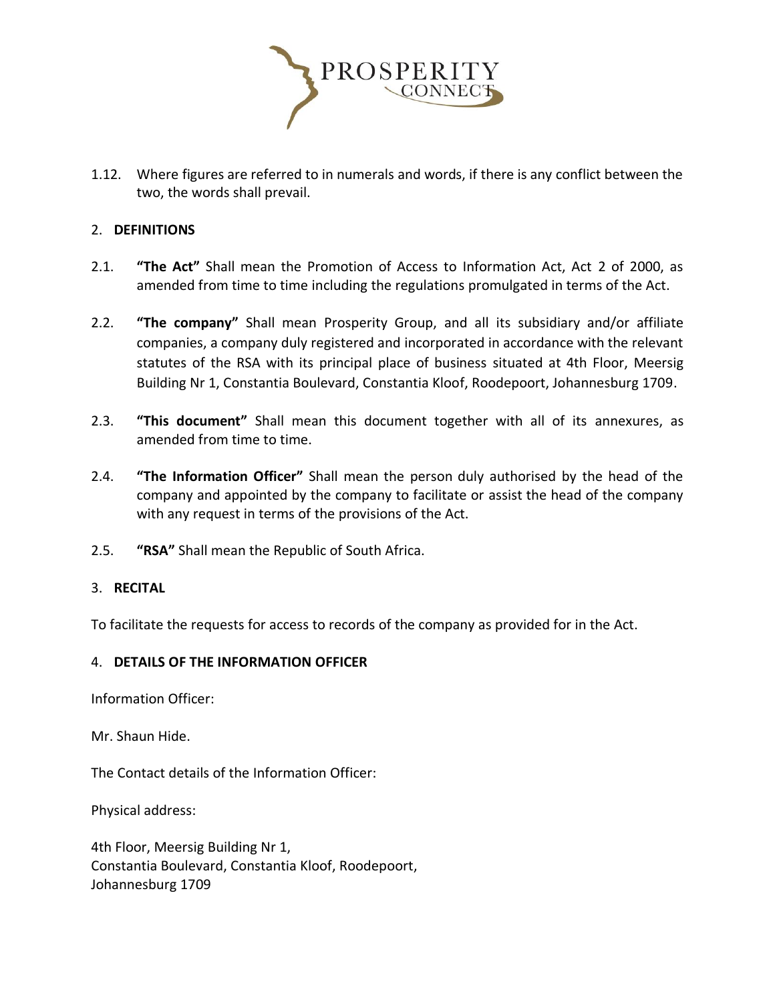

1.12. Where figures are referred to in numerals and words, if there is any conflict between the two, the words shall prevail.

## 2. **DEFINITIONS**

- 2.1. **"The Act"** Shall mean the Promotion of Access to Information Act, Act 2 of 2000, as amended from time to time including the regulations promulgated in terms of the Act.
- 2.2. **"The company"** Shall mean Prosperity Group, and all its subsidiary and/or affiliate companies, a company duly registered and incorporated in accordance with the relevant statutes of the RSA with its principal place of business situated at 4th Floor, Meersig Building Nr 1, Constantia Boulevard, Constantia Kloof, Roodepoort, Johannesburg 1709.
- 2.3. **"This document"** Shall mean this document together with all of its annexures, as amended from time to time.
- 2.4. **"The Information Officer"** Shall mean the person duly authorised by the head of the company and appointed by the company to facilitate or assist the head of the company with any request in terms of the provisions of the Act.
- 2.5. **"RSA"** Shall mean the Republic of South Africa.

### 3. **RECITAL**

To facilitate the requests for access to records of the company as provided for in the Act.

### 4. **DETAILS OF THE INFORMATION OFFICER**

Information Officer:

Mr. Shaun Hide.

The Contact details of the Information Officer:

Physical address:

4th Floor, Meersig Building Nr 1, Constantia Boulevard, Constantia Kloof, Roodepoort, Johannesburg 1709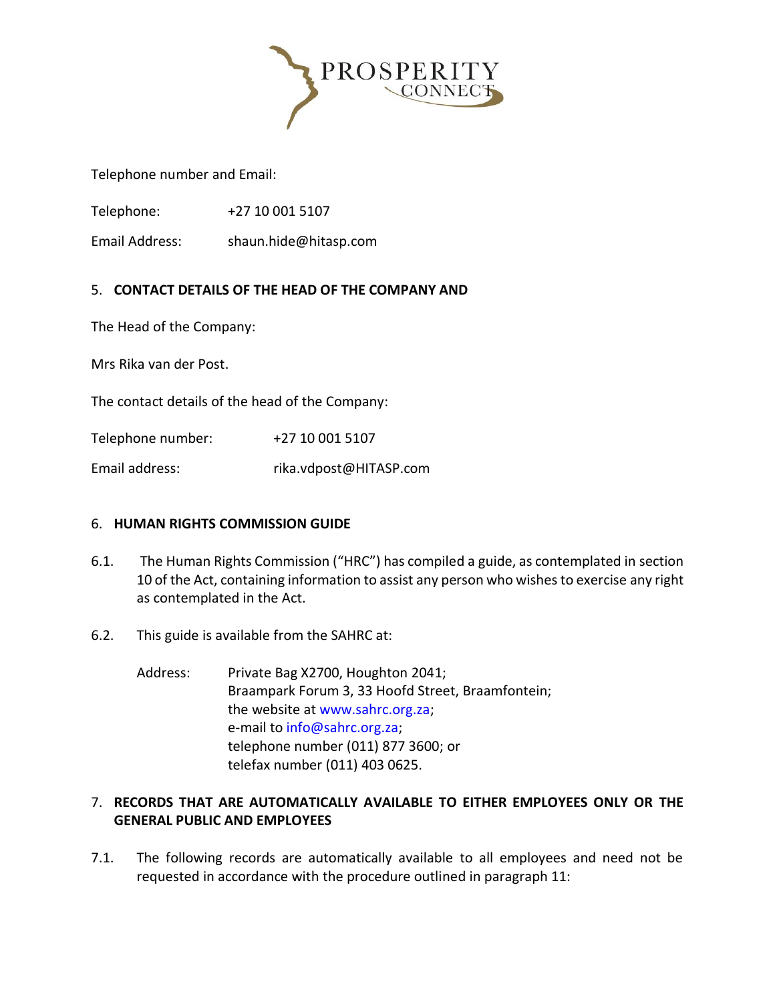

Telephone number and Email:

Telephone: +27 10 001 5107

Email Address: shaun.hide@hitasp.com

## 5. **CONTACT DETAILS OF THE HEAD OF THE COMPANY AND**

The Head of the Company:

Mrs Rika van der Post.

The contact details of the head of the Company:

Telephone number: +27 10 001 5107

Email address: rika.vdpost@HITASP.com

### 6. **HUMAN RIGHTS COMMISSION GUIDE**

- 6.1. The Human Rights Commission ("HRC") has compiled a guide, as contemplated in section 10 of the Act, containing information to assist any person who wishes to exercise any right as contemplated in the Act.
- 6.2. This guide is available from the SAHRC at:
	- Address: Private Bag X2700, Houghton 2041; Braampark Forum 3, 33 Hoofd Street, Braamfontein; the website at www.sahrc.org.za; e-mail to info@sahrc.org.za; telephone number (011) 877 3600; or telefax number (011) 403 0625.

## 7. **RECORDS THAT ARE AUTOMATICALLY AVAILABLE TO EITHER EMPLOYEES ONLY OR THE GENERAL PUBLIC AND EMPLOYEES**

7.1. The following records are automatically available to all employees and need not be requested in accordance with the procedure outlined in paragraph 11: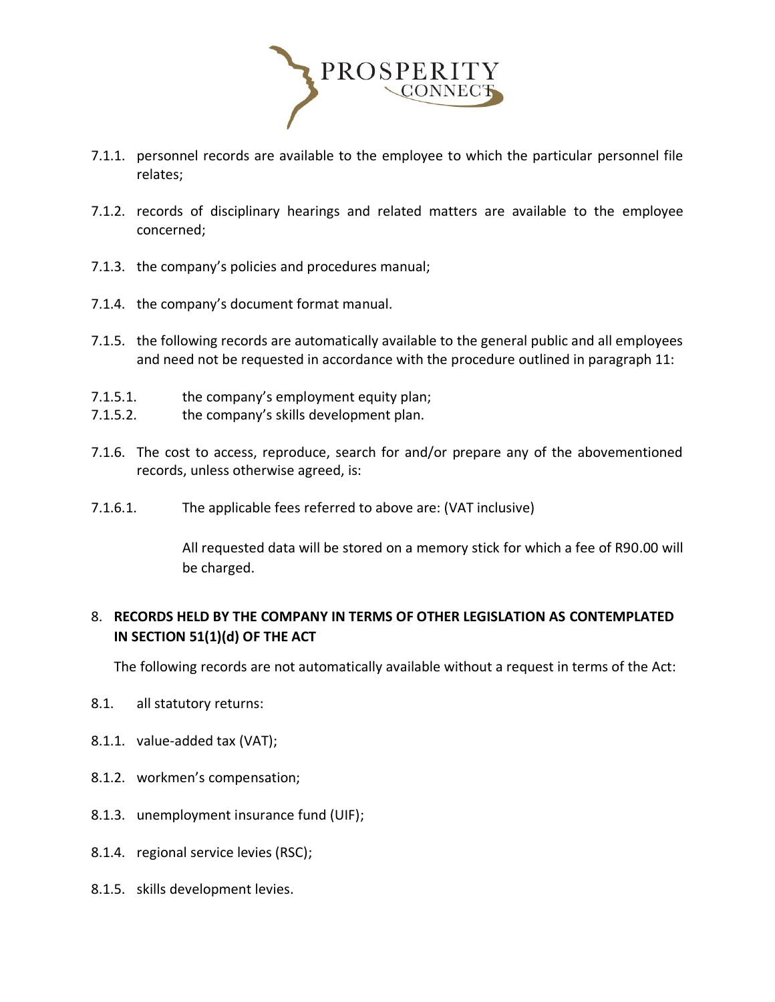

- 7.1.1. personnel records are available to the employee to which the particular personnel file relates;
- 7.1.2. records of disciplinary hearings and related matters are available to the employee concerned;
- 7.1.3. the company's policies and procedures manual;
- 7.1.4. the company's document format manual.
- 7.1.5. the following records are automatically available to the general public and all employees and need not be requested in accordance with the procedure outlined in paragraph 11:
- 7.1.5.1. the company's employment equity plan;
- 7.1.5.2. the company's skills development plan.
- 7.1.6. The cost to access, reproduce, search for and/or prepare any of the abovementioned records, unless otherwise agreed, is:
- 7.1.6.1. The applicable fees referred to above are: (VAT inclusive)

All requested data will be stored on a memory stick for which a fee of R90.00 will be charged.

# 8. **RECORDS HELD BY THE COMPANY IN TERMS OF OTHER LEGISLATION AS CONTEMPLATED IN SECTION 51(1)(d) OF THE ACT**

The following records are not automatically available without a request in terms of the Act:

- 8.1. all statutory returns:
- 8.1.1. value-added tax (VAT);
- 8.1.2. workmen's compensation;
- 8.1.3. unemployment insurance fund (UIF);
- 8.1.4. regional service levies (RSC);
- 8.1.5. skills development levies.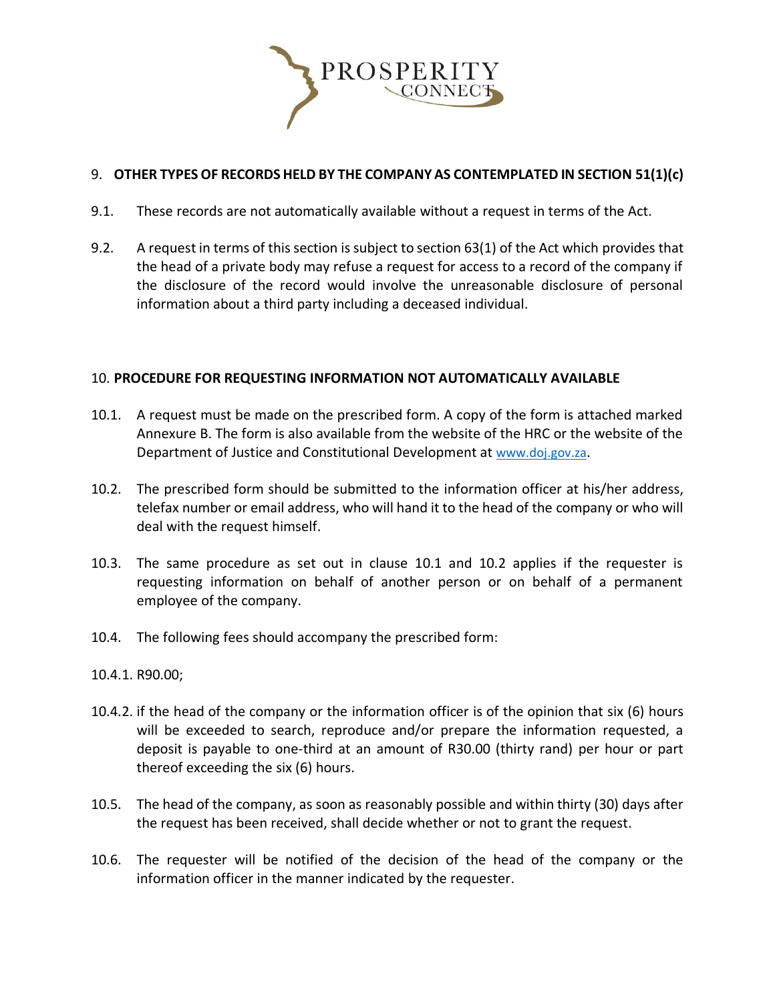

# 9. **OTHER TYPES OF RECORDS HELD BY THE COMPANY AS CONTEMPLATED IN SECTION 51(1)(c)**

- 9.1. These records are not automatically available without a request in terms of the Act.
- 9.2. A request in terms of this section is subject to section 63(1) of the Act which provides that the head of a private body may refuse a request for access to a record of the company if the disclosure of the record would involve the unreasonable disclosure of personal information about a third party including a deceased individual.

#### 10. **PROCEDURE FOR REQUESTING INFORMATION NOT AUTOMATICALLY AVAILABLE**

- 10.1. A request must be made on the prescribed form. A copy of the form is attached marked Annexure B. The form is also available from the website of the HRC or the website of the Department of Justice and Constitutional Development at [www.doj.gov.za](http://www.doj.gov.za/).
- 10.2. The prescribed form should be submitted to the information officer at his/her address, telefax number or email address, who will hand it to the head of the company or who will deal with the request himself.
- 10.3. The same procedure as set out in clause 10.1 and 10.2 applies if the requester is requesting information on behalf of another person or on behalf of a permanent employee of the company.
- 10.4. The following fees should accompany the prescribed form:
- 10.4.1. R90.00;
- 10.4.2. if the head of the company or the information officer is of the opinion that six (6) hours will be exceeded to search, reproduce and/or prepare the information requested, a deposit is payable to one-third at an amount of R30.00 (thirty rand) per hour or part thereof exceeding the six (6) hours.
- 10.5. The head of the company, as soon as reasonably possible and within thirty (30) days after the request has been received, shall decide whether or not to grant the request.
- 10.6. The requester will be notified of the decision of the head of the company or the information officer in the manner indicated by the requester.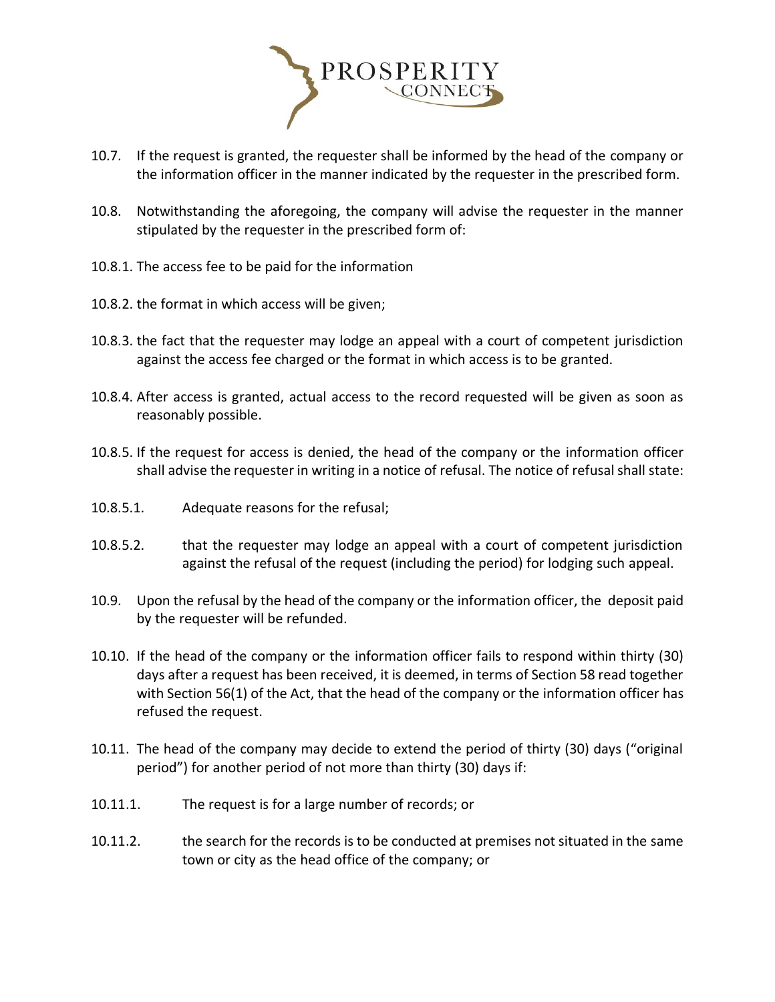

- 10.7. If the request is granted, the requester shall be informed by the head of the company or the information officer in the manner indicated by the requester in the prescribed form.
- 10.8. Notwithstanding the aforegoing, the company will advise the requester in the manner stipulated by the requester in the prescribed form of:
- 10.8.1. The access fee to be paid for the information
- 10.8.2. the format in which access will be given;
- 10.8.3. the fact that the requester may lodge an appeal with a court of competent jurisdiction against the access fee charged or the format in which access is to be granted.
- 10.8.4. After access is granted, actual access to the record requested will be given as soon as reasonably possible.
- 10.8.5. If the request for access is denied, the head of the company or the information officer shall advise the requester in writing in a notice of refusal. The notice of refusal shall state:
- 10.8.5.1. Adequate reasons for the refusal;
- 10.8.5.2. that the requester may lodge an appeal with a court of competent jurisdiction against the refusal of the request (including the period) for lodging such appeal.
- 10.9. Upon the refusal by the head of the company or the information officer, the deposit paid by the requester will be refunded.
- 10.10. If the head of the company or the information officer fails to respond within thirty (30) days after a request has been received, it is deemed, in terms of Section 58 read together with Section 56(1) of the Act, that the head of the company or the information officer has refused the request.
- 10.11. The head of the company may decide to extend the period of thirty (30) days ("original period") for another period of not more than thirty (30) days if:
- 10.11.1. The request is for a large number of records; or
- 10.11.2. the search for the records is to be conducted at premises not situated in the same town or city as the head office of the company; or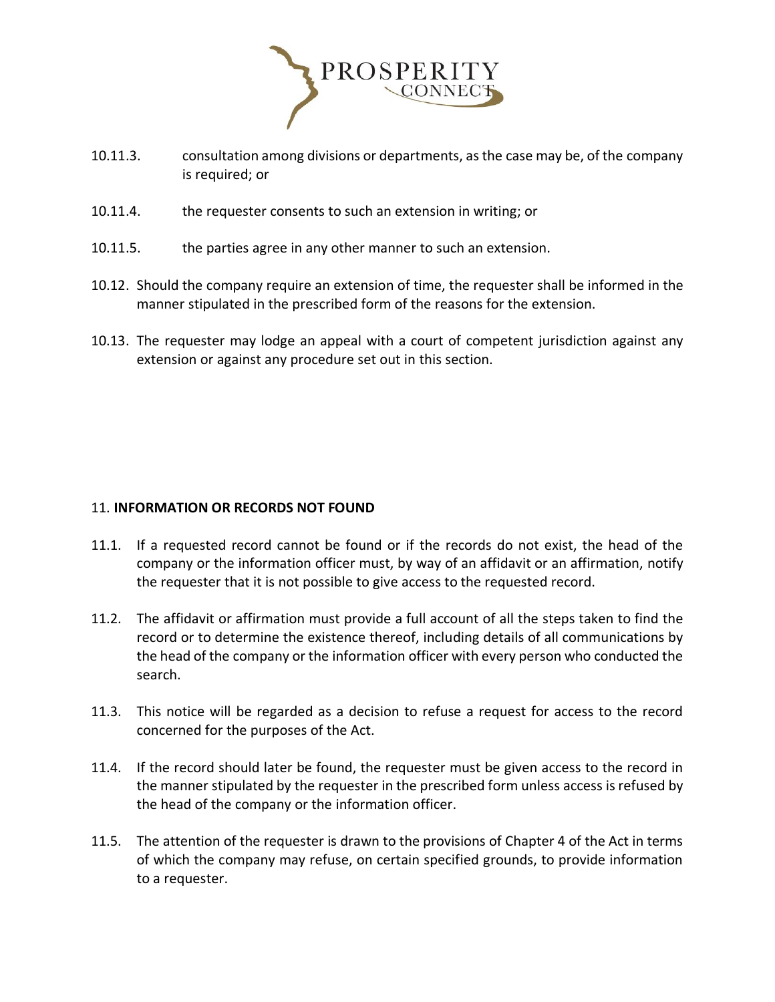

- 10.11.3. consultation among divisions or departments, as the case may be, of the company is required; or
- 10.11.4. the requester consents to such an extension in writing; or
- 10.11.5. the parties agree in any other manner to such an extension.
- 10.12. Should the company require an extension of time, the requester shall be informed in the manner stipulated in the prescribed form of the reasons for the extension.
- 10.13. The requester may lodge an appeal with a court of competent jurisdiction against any extension or against any procedure set out in this section.

### 11. **INFORMATION OR RECORDS NOT FOUND**

- 11.1. If a requested record cannot be found or if the records do not exist, the head of the company or the information officer must, by way of an affidavit or an affirmation, notify the requester that it is not possible to give access to the requested record.
- 11.2. The affidavit or affirmation must provide a full account of all the steps taken to find the record or to determine the existence thereof, including details of all communications by the head of the company or the information officer with every person who conducted the search.
- 11.3. This notice will be regarded as a decision to refuse a request for access to the record concerned for the purposes of the Act.
- 11.4. If the record should later be found, the requester must be given access to the record in the manner stipulated by the requester in the prescribed form unless access is refused by the head of the company or the information officer.
- 11.5. The attention of the requester is drawn to the provisions of Chapter 4 of the Act in terms of which the company may refuse, on certain specified grounds, to provide information to a requester.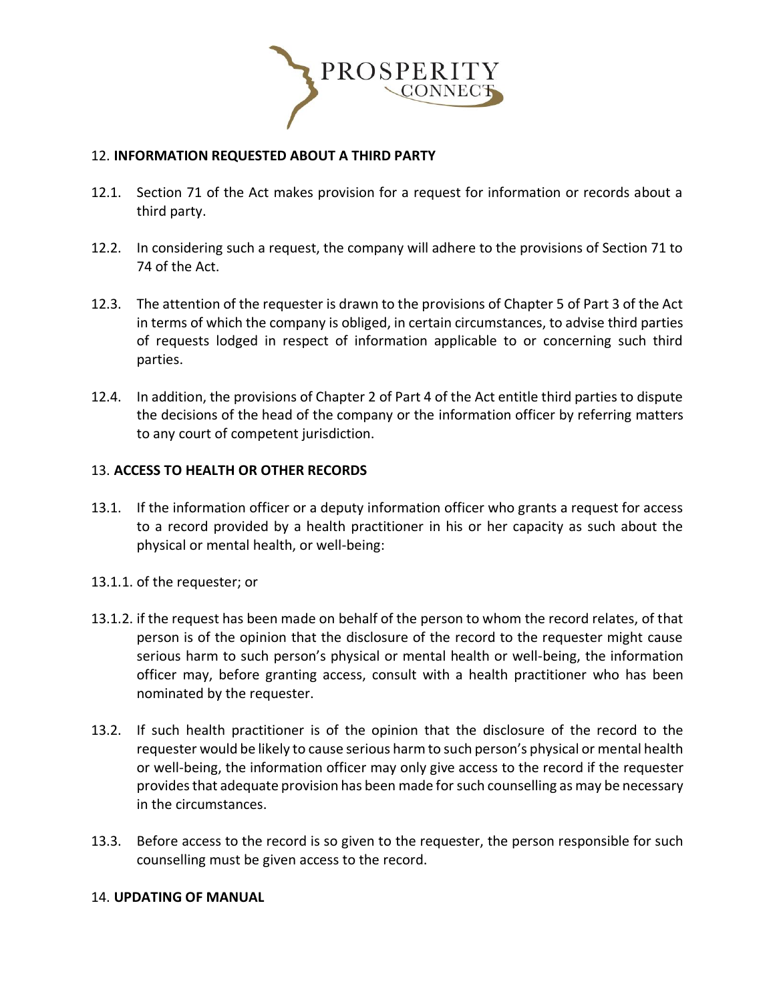

### 12. **INFORMATION REQUESTED ABOUT A THIRD PARTY**

- 12.1. Section 71 of the Act makes provision for a request for information or records about a third party.
- 12.2. In considering such a request, the company will adhere to the provisions of Section 71 to 74 of the Act.
- 12.3. The attention of the requester is drawn to the provisions of Chapter 5 of Part 3 of the Act in terms of which the company is obliged, in certain circumstances, to advise third parties of requests lodged in respect of information applicable to or concerning such third parties.
- 12.4. In addition, the provisions of Chapter 2 of Part 4 of the Act entitle third parties to dispute the decisions of the head of the company or the information officer by referring matters to any court of competent jurisdiction.

## 13. **ACCESS TO HEALTH OR OTHER RECORDS**

- 13.1. If the information officer or a deputy information officer who grants a request for access to a record provided by a health practitioner in his or her capacity as such about the physical or mental health, or well-being:
- 13.1.1. of the requester; or
- 13.1.2. if the request has been made on behalf of the person to whom the record relates, of that person is of the opinion that the disclosure of the record to the requester might cause serious harm to such person's physical or mental health or well-being, the information officer may, before granting access, consult with a health practitioner who has been nominated by the requester.
- 13.2. If such health practitioner is of the opinion that the disclosure of the record to the requester would be likely to cause serious harm to such person's physical or mental health or well-being, the information officer may only give access to the record if the requester provides that adequate provision has been made for such counselling as may be necessary in the circumstances.
- 13.3. Before access to the record is so given to the requester, the person responsible for such counselling must be given access to the record.

### 14. **UPDATING OF MANUAL**